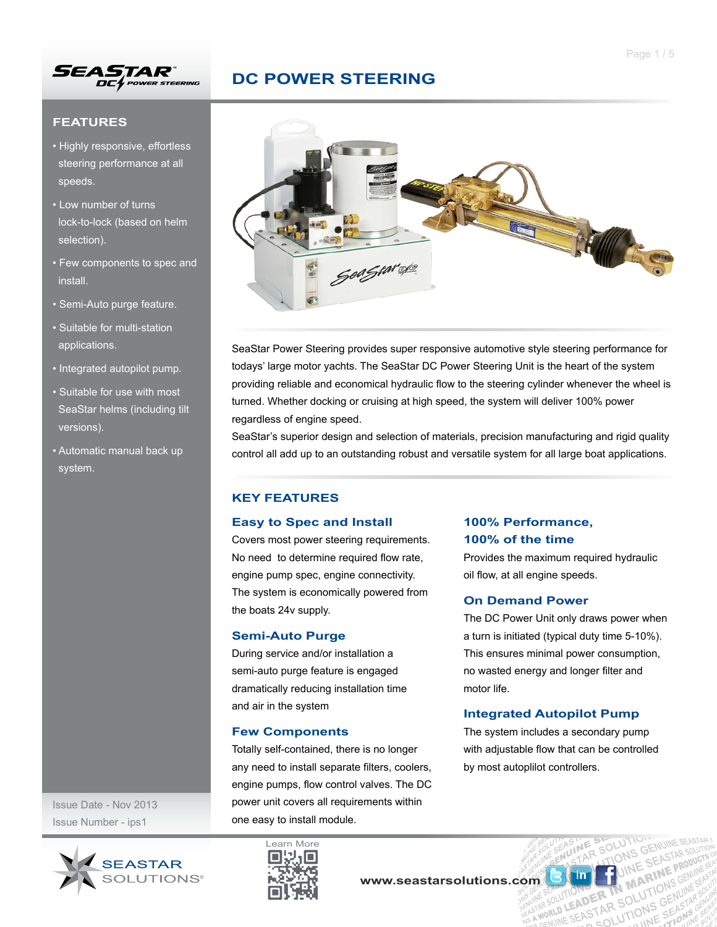

### **FEATURES**

- Highly responsive, effortless steering performance at all speeds.
- Low number of turns lock-to-lock (based on helm selection).
- Few components to spec and install.
- Semi-Auto purge feature.
- Suitable for multi-station applications.
- Integrated autopilot pump.
- Suitable for use with most SeaStar helms (including tilt versions).
- Automatic manual back up system.



SeaStar Power Steering provides super responsive automotive style steering performance for todays' large motor yachts. The SeaStar DC Power Steering Unit is the heart of the system providing reliable and economical hydraulic flow to the steering cylinder whenever the wheel is turned. Whether docking or cruising at high speed, the system will deliver 100% power regardless of engine speed.

SeaStar's superior design and selection of materials, precision manufacturing and rigid quality control all add up to an outstanding robust and versatile system for all large boat applications.

### **KEY FEATURES**

#### **Easy to Spec and Install**

Covers most power steering requirements. No need to determine required flow rate, engine pump spec, engine connectivity. The system is economically powered from the boats 24v supply.

#### **Semi-Auto Purge**

During service and/or installation a semi-auto purge feature is engaged dramatically reducing installation time and air in the system

#### **Few Components**

Totally self-contained, there is no longer any need to install separate filters, coolers, engine pumps, flow control valves. The DC power unit covers all requirements within one easy to install module.

## **100% Performance, 100% of the time**

Provides the maximum required hydraulic oil flow, at all engine speeds.

#### **On Demand Power**

The DC Power Unit only draws power when a turn is initiated (typical duty time 5-10%). This ensures minimal power consumption, no wasted energy and longer filter and motor life.

# **Integrated Autopilot Pump**

The system includes a secondary pump with adjustable flow that can be controlled by most autoplilot controllers.

**MA** 

R IN CLUTION<br>AR SOLUTIONS GEN

UTIONS ER TN MANTI

Issue Date - Nov 2013 Issue Number - ips1



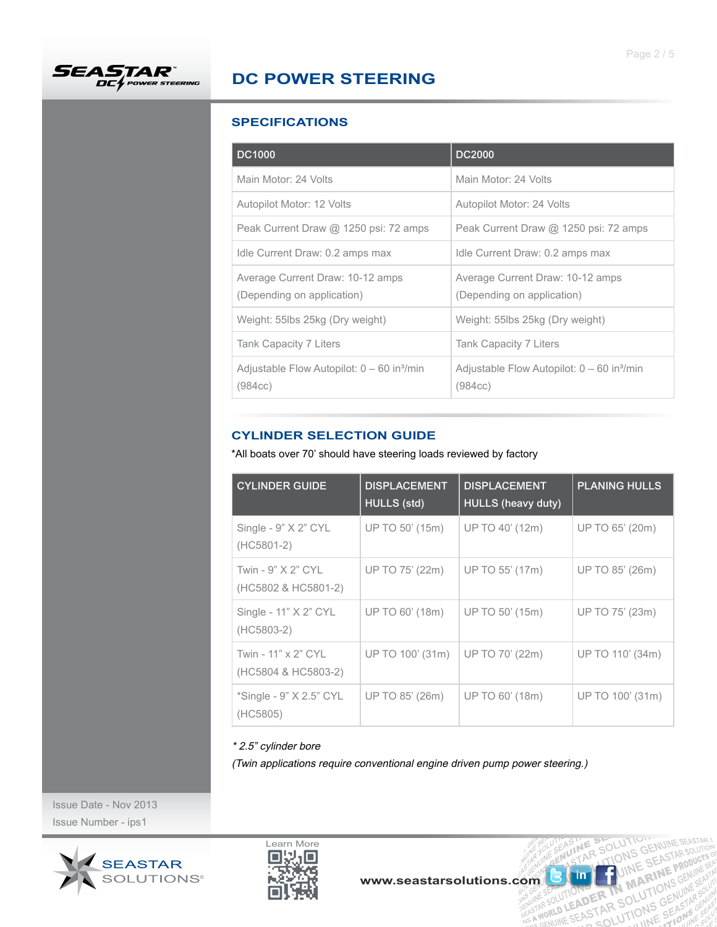

## **SPECIFICATIONS**

| <b>DC1000</b>                                                       | <b>DC2000</b>                                                       |
|---------------------------------------------------------------------|---------------------------------------------------------------------|
| Main Motor: 24 Volts                                                | Main Motor: 24 Volts                                                |
| Autopilot Motor: 12 Volts                                           | Autopilot Motor: 24 Volts                                           |
| Peak Current Draw @ 1250 psi: 72 amps                               | Peak Current Draw @ 1250 psi: 72 amps                               |
| Idle Current Draw: 0.2 amps max                                     | Idle Current Draw: 0.2 amps max                                     |
| Average Current Draw: 10-12 amps<br>(Depending on application)      | Average Current Draw: 10-12 amps<br>(Depending on application)      |
| Weight: 55lbs 25kg (Dry weight)                                     | Weight: 55lbs 25kg (Dry weight)                                     |
| Tank Capacity 7 Liters                                              | Tank Capacity 7 Liters                                              |
| Adjustable Flow Autopilot: $0 - 60$ in <sup>3</sup> /min<br>(984cc) | Adjustable Flow Autopilot: $0 - 60$ in <sup>3</sup> /min<br>(984cc) |

# **CYLINDER SELECTION GUIDE**

\*All boats over 70' should have steering loads reviewed by factory

| <b>CYLINDER GUIDE</b>                      | <b>DISPLACEMENT</b><br><b>HULLS</b> (std) | <b>DISPLACEMENT</b><br><b>HULLS</b> (heavy duty) | <b>PLANING HULLS</b> |
|--------------------------------------------|-------------------------------------------|--------------------------------------------------|----------------------|
| Single - $9"$ $X$ $2"$ $CYL$<br>(HC5801-2) | UP TO 50' (15m)                           | UP TO 40' (12m)                                  | UP TO 65' (20m)      |
| Twin - 9" X 2" CYL<br>(HC5802 & HC5801-2)  | UP TO 75' (22m)                           | UP TO 55' (17m)                                  | UP TO 85' (26m)      |
| Single - 11" X 2" CYL<br>(HC5803-2)        | UP TO 60' (18m)                           | UP TO 50' (15m)                                  | UP TO 75' (23m)      |
| Twin - 11" x 2" CYL<br>(HC5804 & HC5803-2) | UP TO 100' (31m)                          | UP TO 70' (22m)                                  | UP TO 110' (34m)     |
| *Single - 9" X 2.5" CYL<br>(HC5805)        | UP TO 85' (26m)                           | UP TO 60' (18m)                                  | UP TO 100' (31m)     |

### \* 2.5" cylinder bore

(Twin applications require conventional engine driven pump power steering.)

Issue Date - Nov 2013 Issue Number - ips1





**ME SEOLUTION**<br>ME SOLUTIONS GF

**SKIM THE IN MARING (SEAR)**<br>LUTIONS ER IN MOLUTIONS (SEAR) **BER MANTIONS CINES<br>DER R SOLUTIONS GENUINES**<br>STAR SOLUTIONS GEASTAR

THASTLE SE  $J_{\varsigma}^{1}$  $\stackrel{\sim}{\approx}$   $A_{\varsigma}^{S}$ 

 $\mathsf{in}$ 

**SOLUTION**<br>SOLUTIONS GENUINE SEASTAR<br>LTJO, WHE SEASTAR SOLUTION

**UINE RINE** JIN

NUINE SEASTATO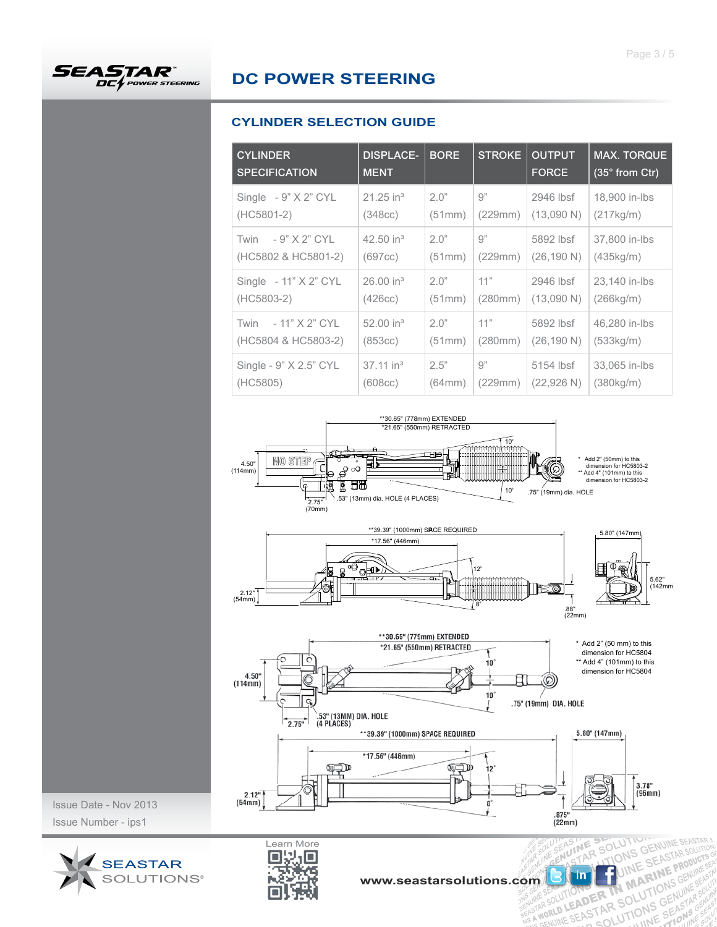## **CYLINDER SELECTION GUIDE**

| <b>CYLINDER</b><br><b>SPECIFICATION</b>       | <b>DISPLACE-</b><br><b>MENT</b> | <b>BORE</b>    | <b>STROKE</b>  | <b>OUTPUT</b><br><b>FORCE</b> | <b>MAX. TORQUE</b><br>$(35°$ from Ctr) |
|-----------------------------------------------|---------------------------------|----------------|----------------|-------------------------------|----------------------------------------|
| Single $-9"$ X 2" CYL                         | $21.25$ in <sup>3</sup>         | 2.0"           | g"             | 2946 lbsf                     | 18,900 in-lbs                          |
| (HC5801-2)                                    | (348cc)                         | (51mm)         | (229mm)        | (13,090 N)                    | (217kg/m)                              |
| $-9"$ X 2" CYL<br>Twin<br>(HC5802 & HC5801-2) | 42.50 in $3$<br>(697cc)         | 2.0"<br>(51mm) | 9"<br>(229mm)  | 5892 lbsf<br>(26, 190 N)      | 37,800 in-lbs<br>(435kg/m)             |
| Single $-11"$ X 2" CYL                        | 26.00 in <sup>3</sup>           | 2.0"           | 11"            | 2946 lbsf                     | 23,140 in-lbs                          |
| (HC5803-2)                                    | (426cc)                         | (51mm)         | (280mm)        | (13,090 N)                    | (266kg/m)                              |
| - 11" X 2" CYL<br>Twin<br>(HC5804 & HC5803-2) | 52.00 in $3$<br>(853cc)         | 2.0"<br>(51mm) | 11"<br>(280mm) | 5892 lbsf<br>(26, 190 N)      | 46,280 in-lbs<br>(533kg/m)             |
| Single - 9" X 2.5" CYL                        | $37.11$ in <sup>3</sup>         | 2.5"           | 9"             | 5154 lbsf                     | 33,065 in-lbs                          |
| (HC5805)                                      | (608cc)                         | (64mm)         | (229mm)        | (22,926 N)                    | (380kg/m)                              |





Issue Date - Nov 2013 Issue Number - ips1





**UTION CENUINE SEASTARS** 

 $J_{5}^{11} = A_{11}^{5}$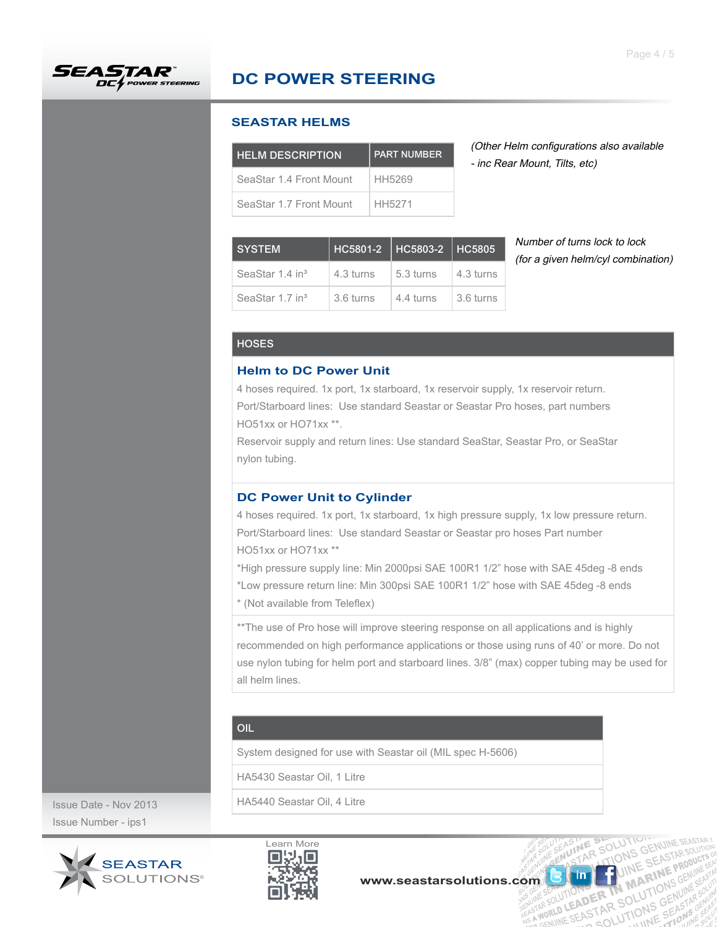

#### **SEASTAR HELMS**

| <b>HELM DESCRIPTION</b> | <b>PART NUMBER</b> |  |
|-------------------------|--------------------|--|
| SeaStar 1.4 Front Mount | HH5269             |  |
| SeaStar 1.7 Front Mount | HH5271             |  |

(Other Helm configurations also available - inc Rear Mount, Tilts, etc)

| <b>SYSTEM</b>               | HC5801-2   HC5803-2   HC5805 |           |           |  |
|-----------------------------|------------------------------|-----------|-----------|--|
| SeaStar 1.4 in <sup>3</sup> | 4.3 turns                    | 5.3 turns | 4.3 turns |  |
| SeaStar 1.7 in <sup>3</sup> | 3.6 turns                    | 4.4 turns | 3.6 turns |  |

Number of turns lock to lock (for a given helm/cyl combination)

R SOLUTION

UTION OF THE MANUTION

ASINE

in

OLUTION CENUINE SEASTAR

UIN RI

ER IN MILITIONS

#### **HOSES**

#### **Helm to DC Power Unit**

4 hoses required. 1x port, 1x starboard, 1x reservoir supply, 1x reservoir return. Port/Starboard lines: Use standard Seastar or Seastar Pro hoses, part numbers HO51xx or HO71xx \*\*.

Reservoir supply and return lines: Use standard SeaStar, Seastar Pro, or SeaStar nylon tubing.

#### **DC Power Unit to Cylinder**

4 hoses required. 1x port, 1x starboard, 1x high pressure supply, 1x low pressure return. Port/Starboard lines: Use standard Seastar or Seastar pro hoses Part number HO51xx or HO71xx \*\*

\*High pressure supply line: Min 2000psi SAE 100R1 1/2" hose with SAE 45deg -8 ends \*Low pressure return line: Min 300psi SAE 100R1 1/2" hose with SAE 45deg -8 ends \* (Not available from Teleflex)

\*\* The use of Pro hose will improve steering response on all applications and is highly recommended on high performance applications or those using runs of 40' or more. Do not use nylon tubing for helm port and starboard lines. 3/8" (max) copper tubing may be used for all helm lines.

### OIL

System designed for use with Seastar oil (MIL spec H-5606)

HA5430 Seastar Oil, 1 Litre

HA5440 Seastar Oil, 4 Litre

Issue Date - Nov 2013 Issue Number - ips1